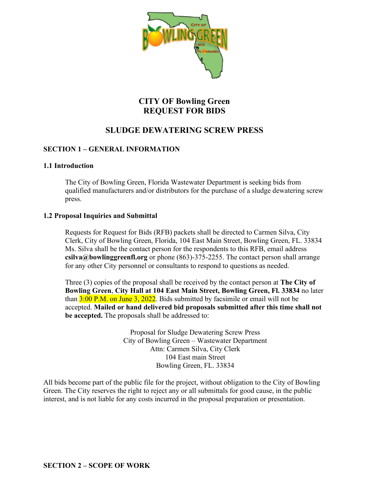

# **CITY OF Bowling Green REQUEST FOR BIDS**

# **SLUDGE DEWATERING SCREW PRESS**

## **SECTION 1 – GENERAL INFORMATION**

#### **1.1 Introduction**

The City of Bowling Green, Florida Wastewater Department is seeking bids from qualified manufacturers and/or distributors for the purchase of a sludge dewatering screw press.

#### **1.2 Proposal Inquiries and Submittal**

Requests for Request for Bids (RFB) packets shall be directed to Carmen Silva, City Clerk, City of Bowling Green, Florida, 104 East Main Street, Bowling Green, FL. 33834 Ms. Silva shall be the contact person for the respondents to this RFB, email address **csilva@bowlinggreenfl.org** or phone (863)-375-2255. The contact person shall arrange for any other City personnel or consultants to respond to questions as needed.

Three (3) copies of the proposal shall be received by the contact person at **The City of Bowling Green**, **City Hall at 104 East Main Street, Bowling Green, Fl. 33834** no later than  $3:00$  P.M. on June 3, 2022. Bids submitted by facsimile or email will not be accepted. **Mailed or hand delivered bid proposals submitted after this time shall not be accepted.** The proposals shall be addressed to:

> Proposal for Sludge Dewatering Screw Press City of Bowling Green – Wastewater Department Attn: Carmen Silva, City Clerk 104 East main Street Bowling Green, FL. 33834

All bids become part of the public file for the project, without obligation to the City of Bowling Green. The City reserves the right to reject any or all submittals for good cause, in the public interest, and is not liable for any costs incurred in the proposal preparation or presentation.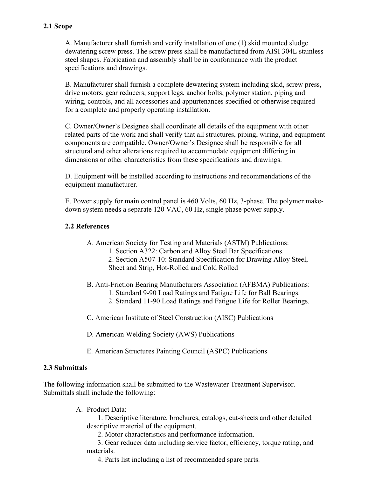## **2.1 Scope**

A. Manufacturer shall furnish and verify installation of one (1) skid mounted sludge dewatering screw press. The screw press shall be manufactured from AISI 304L stainless steel shapes. Fabrication and assembly shall be in conformance with the product specifications and drawings.

B. Manufacturer shall furnish a complete dewatering system including skid, screw press, drive motors, gear reducers, support legs, anchor bolts, polymer station, piping and wiring, controls, and all accessories and appurtenances specified or otherwise required for a complete and properly operating installation.

C. Owner/Owner's Designee shall coordinate all details of the equipment with other related parts of the work and shall verify that all structures, piping, wiring, and equipment components are compatible. Owner/Owner's Designee shall be responsible for all structural and other alterations required to accommodate equipment differing in dimensions or other characteristics from these specifications and drawings.

D. Equipment will be installed according to instructions and recommendations of the equipment manufacturer.

E. Power supply for main control panel is 460 Volts, 60 Hz, 3-phase. The polymer makedown system needs a separate 120 VAC, 60 Hz, single phase power supply.

#### **2.2 References**

- A. American Society for Testing and Materials (ASTM) Publications:
	- 1. Section A322: Carbon and Alloy Steel Bar Specifications.
	- 2. Section A507-10: Standard Specification for Drawing Alloy Steel, Sheet and Strip, Hot-Rolled and Cold Rolled
- B. Anti-Friction Bearing Manufacturers Association (AFBMA) Publications:
	- 1. Standard 9-90 Load Ratings and Fatigue Life for Ball Bearings.
	- 2. Standard 11-90 Load Ratings and Fatigue Life for Roller Bearings.
- C. American Institute of Steel Construction (AISC) Publications
- D. American Welding Society (AWS) Publications
- E. American Structures Painting Council (ASPC) Publications

#### **2.3 Submittals**

The following information shall be submitted to the Wastewater Treatment Supervisor. Submittals shall include the following:

A. Product Data:

1. Descriptive literature, brochures, catalogs, cut-sheets and other detailed descriptive material of the equipment.

2. Motor characteristics and performance information.

3. Gear reducer data including service factor, efficiency, torque rating, and materials.

4. Parts list including a list of recommended spare parts.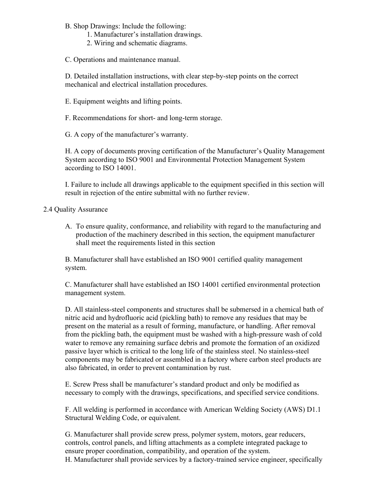B. Shop Drawings: Include the following:

- 1. Manufacturer's installation drawings.
- 2. Wiring and schematic diagrams.

C. Operations and maintenance manual.

D. Detailed installation instructions, with clear step-by-step points on the correct mechanical and electrical installation procedures.

E. Equipment weights and lifting points.

F. Recommendations for short- and long-term storage.

G. A copy of the manufacturer's warranty.

H. A copy of documents proving certification of the Manufacturer's Quality Management System according to ISO 9001 and Environmental Protection Management System according to ISO 14001.

I. Failure to include all drawings applicable to the equipment specified in this section will result in rejection of the entire submittal with no further review.

2.4 Quality Assurance

A. To ensure quality, conformance, and reliability with regard to the manufacturing and production of the machinery described in this section, the equipment manufacturer shall meet the requirements listed in this section

B. Manufacturer shall have established an ISO 9001 certified quality management system.

C. Manufacturer shall have established an ISO 14001 certified environmental protection management system.

D. All stainless-steel components and structures shall be submersed in a chemical bath of nitric acid and hydrofluoric acid (pickling bath) to remove any residues that may be present on the material as a result of forming, manufacture, or handling. After removal from the pickling bath, the equipment must be washed with a high-pressure wash of cold water to remove any remaining surface debris and promote the formation of an oxidized passive layer which is critical to the long life of the stainless steel. No stainless-steel components may be fabricated or assembled in a factory where carbon steel products are also fabricated, in order to prevent contamination by rust.

E. Screw Press shall be manufacturer's standard product and only be modified as necessary to comply with the drawings, specifications, and specified service conditions.

F. All welding is performed in accordance with American Welding Society (AWS) D1.1 Structural Welding Code, or equivalent.

G. Manufacturer shall provide screw press, polymer system, motors, gear reducers, controls, control panels, and lifting attachments as a complete integrated package to ensure proper coordination, compatibility, and operation of the system. H. Manufacturer shall provide services by a factory-trained service engineer, specifically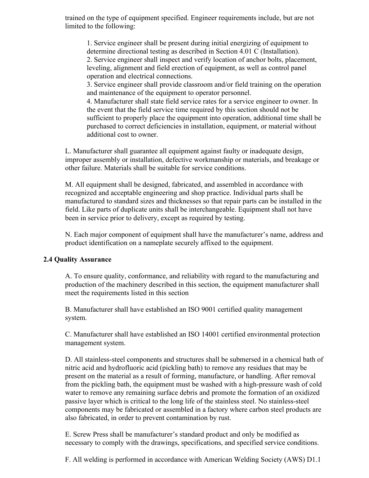trained on the type of equipment specified. Engineer requirements include, but are not limited to the following:

1. Service engineer shall be present during initial energizing of equipment to determine directional testing as described in Section 4.01 C (Installation). 2. Service engineer shall inspect and verify location of anchor bolts, placement, leveling, alignment and field erection of equipment, as well as control panel operation and electrical connections.

3. Service engineer shall provide classroom and/or field training on the operation and maintenance of the equipment to operator personnel.

4. Manufacturer shall state field service rates for a service engineer to owner. In the event that the field service time required by this section should not be sufficient to properly place the equipment into operation, additional time shall be purchased to correct deficiencies in installation, equipment, or material without additional cost to owner.

L. Manufacturer shall guarantee all equipment against faulty or inadequate design, improper assembly or installation, defective workmanship or materials, and breakage or other failure. Materials shall be suitable for service conditions.

M. All equipment shall be designed, fabricated, and assembled in accordance with recognized and acceptable engineering and shop practice. Individual parts shall be manufactured to standard sizes and thicknesses so that repair parts can be installed in the field. Like parts of duplicate units shall be interchangeable. Equipment shall not have been in service prior to delivery, except as required by testing.

N. Each major component of equipment shall have the manufacturer's name, address and product identification on a nameplate securely affixed to the equipment.

#### **2.4 Quality Assurance**

A. To ensure quality, conformance, and reliability with regard to the manufacturing and production of the machinery described in this section, the equipment manufacturer shall meet the requirements listed in this section

B. Manufacturer shall have established an ISO 9001 certified quality management system.

C. Manufacturer shall have established an ISO 14001 certified environmental protection management system.

D. All stainless-steel components and structures shall be submersed in a chemical bath of nitric acid and hydrofluoric acid (pickling bath) to remove any residues that may be present on the material as a result of forming, manufacture, or handling. After removal from the pickling bath, the equipment must be washed with a high-pressure wash of cold water to remove any remaining surface debris and promote the formation of an oxidized passive layer which is critical to the long life of the stainless steel. No stainless-steel components may be fabricated or assembled in a factory where carbon steel products are also fabricated, in order to prevent contamination by rust.

E. Screw Press shall be manufacturer's standard product and only be modified as necessary to comply with the drawings, specifications, and specified service conditions.

F. All welding is performed in accordance with American Welding Society (AWS) D1.1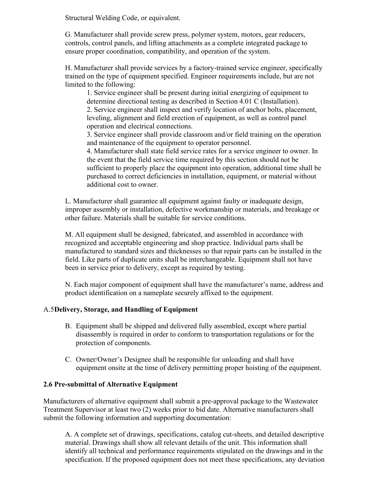Structural Welding Code, or equivalent.

G. Manufacturer shall provide screw press, polymer system, motors, gear reducers, controls, control panels, and lifting attachments as a complete integrated package to ensure proper coordination, compatibility, and operation of the system.

H. Manufacturer shall provide services by a factory-trained service engineer, specifically trained on the type of equipment specified. Engineer requirements include, but are not limited to the following:

1. Service engineer shall be present during initial energizing of equipment to determine directional testing as described in Section 4.01 C (Installation). 2. Service engineer shall inspect and verify location of anchor bolts, placement, leveling, alignment and field erection of equipment, as well as control panel operation and electrical connections.

3. Service engineer shall provide classroom and/or field training on the operation and maintenance of the equipment to operator personnel.

4. Manufacturer shall state field service rates for a service engineer to owner. In the event that the field service time required by this section should not be sufficient to properly place the equipment into operation, additional time shall be purchased to correct deficiencies in installation, equipment, or material without additional cost to owner.

L. Manufacturer shall guarantee all equipment against faulty or inadequate design, improper assembly or installation, defective workmanship or materials, and breakage or other failure. Materials shall be suitable for service conditions.

M. All equipment shall be designed, fabricated, and assembled in accordance with recognized and acceptable engineering and shop practice. Individual parts shall be manufactured to standard sizes and thicknesses so that repair parts can be installed in the field. Like parts of duplicate units shall be interchangeable. Equipment shall not have been in service prior to delivery, except as required by testing.

N. Each major component of equipment shall have the manufacturer's name, address and product identification on a nameplate securely affixed to the equipment.

#### A.5**Delivery, Storage, and Handling of Equipment**

- B. Equipment shall be shipped and delivered fully assembled, except where partial disassembly is required in order to conform to transportation regulations or for the protection of components.
- C. Owner/Owner's Designee shall be responsible for unloading and shall have equipment onsite at the time of delivery permitting proper hoisting of the equipment.

#### **2.6 Pre-submittal of Alternative Equipment**

Manufacturers of alternative equipment shall submit a pre-approval package to the Wastewater Treatment Supervisor at least two (2) weeks prior to bid date. Alternative manufacturers shall submit the following information and supporting documentation:

A. A complete set of drawings, specifications, catalog cut-sheets, and detailed descriptive material. Drawings shall show all relevant details of the unit. This information shall identify all technical and performance requirements stipulated on the drawings and in the specification. If the proposed equipment does not meet these specifications, any deviation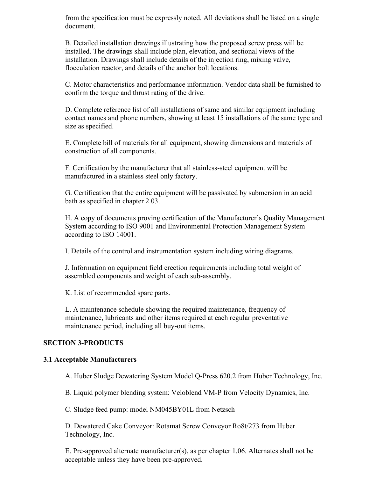from the specification must be expressly noted. All deviations shall be listed on a single document.

B. Detailed installation drawings illustrating how the proposed screw press will be installed. The drawings shall include plan, elevation, and sectional views of the installation. Drawings shall include details of the injection ring, mixing valve, flocculation reactor, and details of the anchor bolt locations.

C. Motor characteristics and performance information. Vendor data shall be furnished to confirm the torque and thrust rating of the drive.

D. Complete reference list of all installations of same and similar equipment including contact names and phone numbers, showing at least 15 installations of the same type and size as specified.

E. Complete bill of materials for all equipment, showing dimensions and materials of construction of all components.

F. Certification by the manufacturer that all stainless-steel equipment will be manufactured in a stainless steel only factory.

G. Certification that the entire equipment will be passivated by submersion in an acid bath as specified in chapter 2.03.

H. A copy of documents proving certification of the Manufacturer's Quality Management System according to ISO 9001 and Environmental Protection Management System according to ISO 14001.

I. Details of the control and instrumentation system including wiring diagrams.

J. Information on equipment field erection requirements including total weight of assembled components and weight of each sub-assembly.

K. List of recommended spare parts.

L. A maintenance schedule showing the required maintenance, frequency of maintenance, lubricants and other items required at each regular preventative maintenance period, including all buy-out items.

#### **SECTION 3-PRODUCTS**

#### **3.1 Acceptable Manufacturers**

A. Huber Sludge Dewatering System Model Q-Press 620.2 from Huber Technology, Inc.

B. Liquid polymer blending system: Veloblend VM-P from Velocity Dynamics, Inc.

C. Sludge feed pump: model NM045BY01L from Netzsch

D. Dewatered Cake Conveyor: Rotamat Screw Conveyor Ro8t/273 from Huber Technology, Inc.

E. Pre-approved alternate manufacturer(s), as per chapter 1.06. Alternates shall not be acceptable unless they have been pre-approved.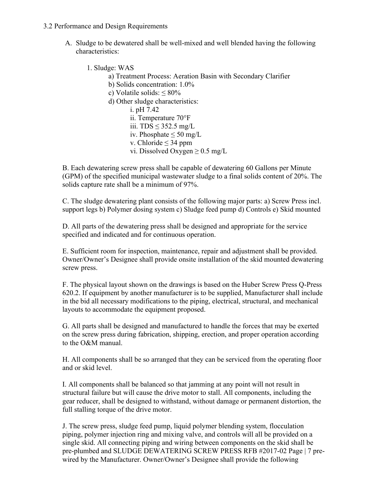#### 3.2 Performance and Design Requirements

- A. Sludge to be dewatered shall be well-mixed and well blended having the following characteristics:
	- 1. Sludge: WAS
		- a) Treatment Process: Aeration Basin with Secondary Clarifier
		- b) Solids concentration: 1.0%
		- c) Volatile solids: ≤ 80%
		- d) Other sludge characteristics:
			- i. pH 7.42 ii. Temperature 70°F
			- iii. TDS  $\leq$  352.5 mg/L
			- iv. Phosphate  $\leq 50$  mg/L
			- v. Chloride  $\leq$  34 ppm
			- vi. Dissolved Oxygen ≥ 0.5 mg/L

B. Each dewatering screw press shall be capable of dewatering 60 Gallons per Minute (GPM) of the specified municipal wastewater sludge to a final solids content of 20%. The solids capture rate shall be a minimum of 97%.

C. The sludge dewatering plant consists of the following major parts: a) Screw Press incl. support legs b) Polymer dosing system c) Sludge feed pump d) Controls e) Skid mounted

D. All parts of the dewatering press shall be designed and appropriate for the service specified and indicated and for continuous operation.

E. Sufficient room for inspection, maintenance, repair and adjustment shall be provided. Owner/Owner's Designee shall provide onsite installation of the skid mounted dewatering screw press.

F. The physical layout shown on the drawings is based on the Huber Screw Press Q-Press 620.2. If equipment by another manufacturer is to be supplied, Manufacturer shall include in the bid all necessary modifications to the piping, electrical, structural, and mechanical layouts to accommodate the equipment proposed.

G. All parts shall be designed and manufactured to handle the forces that may be exerted on the screw press during fabrication, shipping, erection, and proper operation according to the O&M manual.

H. All components shall be so arranged that they can be serviced from the operating floor and or skid level.

I. All components shall be balanced so that jamming at any point will not result in structural failure but will cause the drive motor to stall. All components, including the gear reducer, shall be designed to withstand, without damage or permanent distortion, the full stalling torque of the drive motor.

J. The screw press, sludge feed pump, liquid polymer blending system, flocculation piping, polymer injection ring and mixing valve, and controls will all be provided on a single skid. All connecting piping and wiring between components on the skid shall be pre-plumbed and SLUDGE DEWATERING SCREW PRESS RFB #2017-02 Page | 7 prewired by the Manufacturer. Owner/Owner's Designee shall provide the following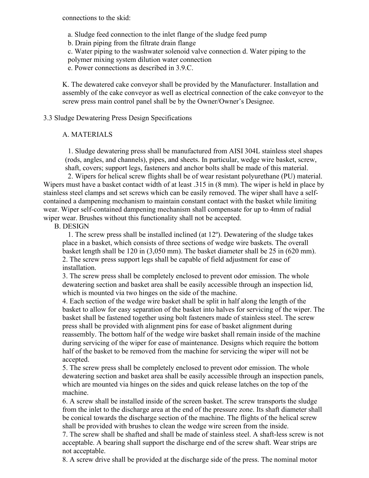connections to the skid:

a. Sludge feed connection to the inlet flange of the sludge feed pump

b. Drain piping from the filtrate drain flange

c. Water piping to the washwater solenoid valve connection d. Water piping to the

polymer mixing system dilution water connection

e. Power connections as described in 3.9.C.

K. The dewatered cake conveyor shall be provided by the Manufacturer. Installation and assembly of the cake conveyor as well as electrical connection of the cake conveyor to the screw press main control panel shall be by the Owner/Owner's Designee.

3.3 Sludge Dewatering Press Design Specifications

#### A. MATERIALS

1. Sludge dewatering press shall be manufactured from AISI 304L stainless steel shapes (rods, angles, and channels), pipes, and sheets. In particular, wedge wire basket, screw, shaft, covers; support legs, fasteners and anchor bolts shall be made of this material.

2. Wipers for helical screw flights shall be of wear resistant polyurethane (PU) material. Wipers must have a basket contact width of at least .315 in (8 mm). The wiper is held in place by stainless steel clamps and set screws which can be easily removed. The wiper shall have a selfcontained a dampening mechanism to maintain constant contact with the basket while limiting wear. Wiper self-contained dampening mechanism shall compensate for up to 4mm of radial wiper wear. Brushes without this functionality shall not be accepted.

B. DESIGN

1. The screw press shall be installed inclined (at 12º). Dewatering of the sludge takes place in a basket, which consists of three sections of wedge wire baskets. The overall basket length shall be 120 in (3,050 mm). The basket diameter shall be 25 in (620 mm). 2. The screw press support legs shall be capable of field adjustment for ease of installation.

3. The screw press shall be completely enclosed to prevent odor emission. The whole dewatering section and basket area shall be easily accessible through an inspection lid, which is mounted via two hinges on the side of the machine.

4. Each section of the wedge wire basket shall be split in half along the length of the basket to allow for easy separation of the basket into halves for servicing of the wiper. The basket shall be fastened together using bolt fasteners made of stainless steel. The screw press shall be provided with alignment pins for ease of basket alignment during reassembly. The bottom half of the wedge wire basket shall remain inside of the machine during servicing of the wiper for ease of maintenance. Designs which require the bottom half of the basket to be removed from the machine for servicing the wiper will not be accepted.

5. The screw press shall be completely enclosed to prevent odor emission. The whole dewatering section and basket area shall be easily accessible through an inspection panels, which are mounted via hinges on the sides and quick release latches on the top of the machine.

6. A screw shall be installed inside of the screen basket. The screw transports the sludge from the inlet to the discharge area at the end of the pressure zone. Its shaft diameter shall be conical towards the discharge section of the machine. The flights of the helical screw shall be provided with brushes to clean the wedge wire screen from the inside.

7. The screw shall be shafted and shall be made of stainless steel. A shaft-less screw is not acceptable. A bearing shall support the discharge end of the screw shaft. Wear strips are not acceptable.

8. A screw drive shall be provided at the discharge side of the press. The nominal motor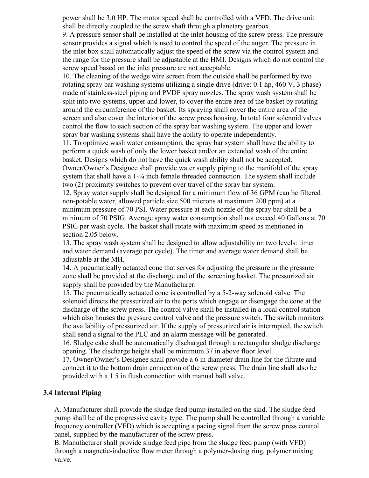power shall be 3.0 HP. The motor speed shall be controlled with a VFD. The drive unit shall be directly coupled to the screw shaft through a planetary gearbox.

9. A pressure sensor shall be installed at the inlet housing of the screw press. The pressure sensor provides a signal which is used to control the speed of the auger. The pressure in the inlet box shall automatically adjust the speed of the screw via the control system and the range for the pressure shall be adjustable at the HMI. Designs which do not control the screw speed based on the inlet pressure are not acceptable.

10. The cleaning of the wedge wire screen from the outside shall be performed by two rotating spray bar washing systems utilizing a single drive (drive: 0.1 hp, 460 V, 3 phase) made of stainless-steel piping and PVDF spray nozzles. The spray wash system shall be split into two systems, upper and lower, to cover the entire area of the basket by rotating around the circumference of the basket. Its spraying shall cover the entire area of the screen and also cover the interior of the screw press housing. In total four solenoid valves control the flow to each section of the spray bar washing system. The upper and lower spray bar washing systems shall have the ability to operate independently.

11. To optimize wash water consumption, the spray bar system shall have the ability to perform a quick wash of only the lower basket and/or an extended wash of the entire basket. Designs which do not have the quick wash ability shall not be accepted. Owner/Owner's Designee shall provide water supply piping to the manifold of the spray system that shall have a 1-¼ inch female threaded connection. The system shall include two (2) proximity switches to prevent over travel of the spray bar system.

12. Spray water supply shall be designed for a minimum flow of 36 GPM (can be filtered non-potable water, allowed particle size 500 microns at maximum 200 ppm) at a minimum pressure of 70 PSI. Water pressure at each nozzle of the spray bar shall be a minimum of 70 PSIG. Average spray water consumption shall not exceed 40 Gallons at 70 PSIG per wash cycle. The basket shall rotate with maximum speed as mentioned in section 2.05 below.

13. The spray wash system shall be designed to allow adjustability on two levels: timer and water demand (average per cycle). The timer and average water demand shall be adjustable at the MH.

14. A pneumatically actuated cone that serves for adjusting the pressure in the pressure zone shall be provided at the discharge end of the screening basket. The pressurized air supply shall be provided by the Manufacturer.

15. The pneumatically actuated cone is controlled by a 5-2-way solenoid valve. The solenoid directs the pressurized air to the ports which engage or disengage the cone at the discharge of the screw press. The control valve shall be installed in a local control station which also houses the pressure control valve and the pressure switch. The switch monitors the availability of pressurized air. If the supply of pressurized air is interrupted, the switch shall send a signal to the PLC and an alarm message will be generated.

16. Sludge cake shall be automatically discharged through a rectangular sludge discharge opening. The discharge height shall be minimum 37 in above floor level.

17. Owner/Owner's Designee shall provide a 6 in diameter drain line for the filtrate and connect it to the bottom drain connection of the screw press. The drain line shall also be provided with a 1.5 in flush connection with manual ball valve.

#### **3.4 Internal Piping**

A. Manufacturer shall provide the sludge feed pump installed on the skid. The sludge feed pump shall be of the progressive cavity type. The pump shall be controlled through a variable frequency controller (VFD) which is accepting a pacing signal from the screw press control panel, supplied by the manufacturer of the screw press.

B. Manufacturer shall provide sludge feed pipe from the sludge feed pump (with VFD) through a magnetic-inductive flow meter through a polymer-dosing ring, polymer mixing valve.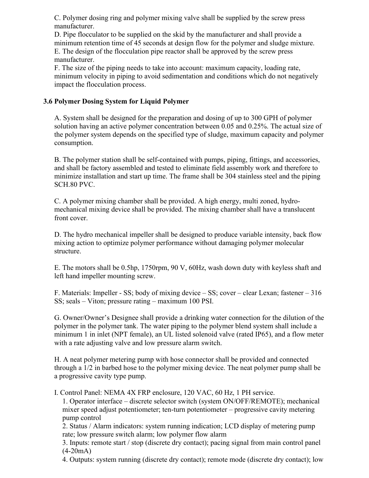C. Polymer dosing ring and polymer mixing valve shall be supplied by the screw press manufacturer.

D. Pipe flocculator to be supplied on the skid by the manufacturer and shall provide a minimum retention time of 45 seconds at design flow for the polymer and sludge mixture. E. The design of the flocculation pipe reactor shall be approved by the screw press manufacturer.

F. The size of the piping needs to take into account: maximum capacity, loading rate, minimum velocity in piping to avoid sedimentation and conditions which do not negatively impact the flocculation process.

### **3.6 Polymer Dosing System for Liquid Polymer**

A. System shall be designed for the preparation and dosing of up to 300 GPH of polymer solution having an active polymer concentration between 0.05 and 0.25%. The actual size of the polymer system depends on the specified type of sludge, maximum capacity and polymer consumption.

B. The polymer station shall be self-contained with pumps, piping, fittings, and accessories, and shall be factory assembled and tested to eliminate field assembly work and therefore to minimize installation and start up time. The frame shall be 304 stainless steel and the piping SCH.80 PVC.

C. A polymer mixing chamber shall be provided. A high energy, multi zoned, hydromechanical mixing device shall be provided. The mixing chamber shall have a translucent front cover.

D. The hydro mechanical impeller shall be designed to produce variable intensity, back flow mixing action to optimize polymer performance without damaging polymer molecular structure.

E. The motors shall be 0.5hp, 1750rpm, 90 V, 60Hz, wash down duty with keyless shaft and left hand impeller mounting screw.

F. Materials: Impeller - SS; body of mixing device – SS; cover – clear Lexan; fastener – 316 SS; seals – Viton; pressure rating – maximum 100 PSI.

G. Owner/Owner's Designee shall provide a drinking water connection for the dilution of the polymer in the polymer tank. The water piping to the polymer blend system shall include a minimum 1 in inlet (NPT female), an UL listed solenoid valve (rated IP65), and a flow meter with a rate adjusting valve and low pressure alarm switch.

H. A neat polymer metering pump with hose connector shall be provided and connected through a 1/2 in barbed hose to the polymer mixing device. The neat polymer pump shall be a progressive cavity type pump.

I. Control Panel: NEMA 4X FRP enclosure, 120 VAC, 60 Hz, 1 PH service.

1. Operator interface – discrete selector switch (system ON/OFF/REMOTE); mechanical mixer speed adjust potentiometer; ten-turn potentiometer – progressive cavity metering pump control

2. Status / Alarm indicators: system running indication; LCD display of metering pump rate; low pressure switch alarm; low polymer flow alarm

3. Inputs: remote start / stop (discrete dry contact); pacing signal from main control panel  $(4-20mA)$ 

4. Outputs: system running (discrete dry contact); remote mode (discrete dry contact); low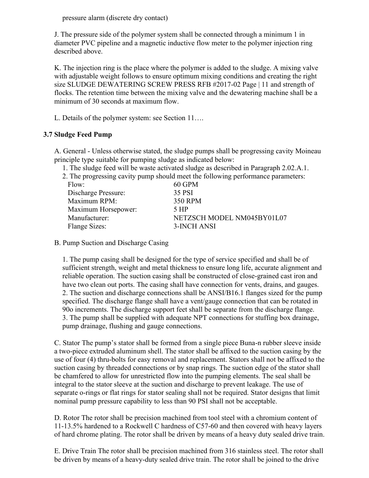pressure alarm (discrete dry contact)

J. The pressure side of the polymer system shall be connected through a minimum 1 in diameter PVC pipeline and a magnetic inductive flow meter to the polymer injection ring described above.

K. The injection ring is the place where the polymer is added to the sludge. A mixing valve with adjustable weight follows to ensure optimum mixing conditions and creating the right size SLUDGE DEWATERING SCREW PRESS RFB #2017-02 Page | 11 and strength of flocks. The retention time between the mixing valve and the dewatering machine shall be a minimum of 30 seconds at maximum flow.

L. Details of the polymer system: see Section 11….

#### **3.7 Sludge Feed Pump**

A. General - Unless otherwise stated, the sludge pumps shall be progressing cavity Moineau principle type suitable for pumping sludge as indicated below:

- 1. The sludge feed will be waste activated sludge as described in Paragraph 2.02.A.1.
- 2. The progressing cavity pump should meet the following performance parameters:

| 60 GPM                     |
|----------------------------|
| 35 PSI                     |
| 350 RPM                    |
| 5 HP                       |
| NETZSCH MODEL NM045BY01L07 |
| 3-INCH ANSI                |
|                            |

B. Pump Suction and Discharge Casing

1. The pump casing shall be designed for the type of service specified and shall be of sufficient strength, weight and metal thickness to ensure long life, accurate alignment and reliable operation. The suction casing shall be constructed of close-grained cast iron and have two clean out ports. The casing shall have connection for vents, drains, and gauges. 2. The suction and discharge connections shall be ANSI/B16.1 flanges sized for the pump specified. The discharge flange shall have a vent/gauge connection that can be rotated in 90o increments. The discharge support feet shall be separate from the discharge flange. 3. The pump shall be supplied with adequate NPT connections for stuffing box drainage, pump drainage, flushing and gauge connections.

C. Stator The pump's stator shall be formed from a single piece Buna-n rubber sleeve inside a two-piece extruded aluminum shell. The stator shall be affixed to the suction casing by the use of four (4) thru-bolts for easy removal and replacement. Stators shall not be affixed to the suction casing by threaded connections or by snap rings. The suction edge of the stator shall be chamfered to allow for unrestricted flow into the pumping elements. The seal shall be integral to the stator sleeve at the suction and discharge to prevent leakage. The use of separate o-rings or flat rings for stator sealing shall not be required. Stator designs that limit nominal pump pressure capability to less than 90 PSI shall not be acceptable.

D. Rotor The rotor shall be precision machined from tool steel with a chromium content of 11-13.5% hardened to a Rockwell C hardness of C57-60 and then covered with heavy layers of hard chrome plating. The rotor shall be driven by means of a heavy duty sealed drive train.

E. Drive Train The rotor shall be precision machined from 316 stainless steel. The rotor shall be driven by means of a heavy-duty sealed drive train. The rotor shall be joined to the drive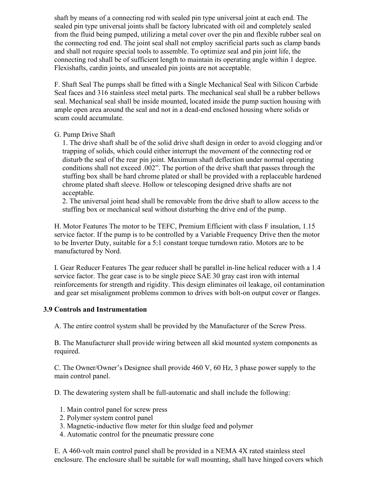shaft by means of a connecting rod with sealed pin type universal joint at each end. The sealed pin type universal joints shall be factory lubricated with oil and completely sealed from the fluid being pumped, utilizing a metal cover over the pin and flexible rubber seal on the connecting rod end. The joint seal shall not employ sacrificial parts such as clamp bands and shall not require special tools to assemble. To optimize seal and pin joint life, the connecting rod shall be of sufficient length to maintain its operating angle within 1 degree. Flexishafts, cardin joints, and unsealed pin joints are not acceptable.

F. Shaft Seal The pumps shall be fitted with a Single Mechanical Seal with Silicon Carbide Seal faces and 316 stainless steel metal parts. The mechanical seal shall be a rubber bellows seal. Mechanical seal shall be inside mounted, located inside the pump suction housing with ample open area around the seal and not in a dead-end enclosed housing where solids or scum could accumulate.

#### G. Pump Drive Shaft

1. The drive shaft shall be of the solid drive shaft design in order to avoid clogging and/or trapping of solids, which could either interrupt the movement of the connecting rod or disturb the seal of the rear pin joint. Maximum shaft deflection under normal operating conditions shall not exceed .002". The portion of the drive shaft that passes through the stuffing box shall be hard chrome plated or shall be provided with a replaceable hardened chrome plated shaft sleeve. Hollow or telescoping designed drive shafts are not acceptable.

2. The universal joint head shall be removable from the drive shaft to allow access to the stuffing box or mechanical seal without disturbing the drive end of the pump.

H. Motor Features The motor to be TEFC, Premium Efficient with class F insulation, 1.15 service factor. If the pump is to be controlled by a Variable Frequency Drive then the motor to be Inverter Duty, suitable for a 5:1 constant torque turndown ratio. Motors are to be manufactured by Nord.

I. Gear Reducer Features The gear reducer shall be parallel in-line helical reducer with a 1.4 service factor. The gear case is to be single piece SAE 30 gray cast iron with internal reinforcements for strength and rigidity. This design eliminates oil leakage, oil contamination and gear set misalignment problems common to drives with bolt-on output cover or flanges.

#### **3.9 Controls and Instrumentation**

A. The entire control system shall be provided by the Manufacturer of the Screw Press.

B. The Manufacturer shall provide wiring between all skid mounted system components as required.

C. The Owner/Owner's Designee shall provide 460 V, 60 Hz, 3 phase power supply to the main control panel.

D. The dewatering system shall be full-automatic and shall include the following:

- 1. Main control panel for screw press
- 2. Polymer system control panel
- 3. Magnetic-inductive flow meter for thin sludge feed and polymer
- 4. Automatic control for the pneumatic pressure cone

E. A 460-volt main control panel shall be provided in a NEMA 4X rated stainless steel enclosure. The enclosure shall be suitable for wall mounting, shall have hinged covers which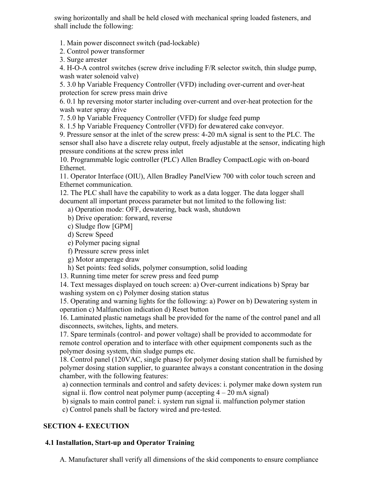swing horizontally and shall be held closed with mechanical spring loaded fasteners, and shall include the following:

1. Main power disconnect switch (pad-lockable)

2. Control power transformer

3. Surge arrester

4. H-O-A control switches (screw drive including F/R selector switch, thin sludge pump, wash water solenoid valve)

5. 3.0 hp Variable Frequency Controller (VFD) including over-current and over-heat protection for screw press main drive

6. 0.1 hp reversing motor starter including over-current and over-heat protection for the wash water spray drive

7. 5.0 hp Variable Frequency Controller (VFD) for sludge feed pump

8. 1.5 hp Variable Frequency Controller (VFD) for dewatered cake conveyor.

9. Pressure sensor at the inlet of the screw press: 4-20 mA signal is sent to the PLC. The sensor shall also have a discrete relay output, freely adjustable at the sensor, indicating high pressure conditions at the screw press inlet

10. Programmable logic controller (PLC) Allen Bradley CompactLogic with on-board Ethernet.

11. Operator Interface (OIU), Allen Bradley PanelView 700 with color touch screen and Ethernet communication.

12. The PLC shall have the capability to work as a data logger. The data logger shall document all important process parameter but not limited to the following list:

a) Operation mode: OFF, dewatering, back wash, shutdown

b) Drive operation: forward, reverse

- c) Sludge flow [GPM]
- d) Screw Speed
- e) Polymer pacing signal
- f) Pressure screw press inlet
- g) Motor amperage draw

h) Set points: feed solids, polymer consumption, solid loading

13. Running time meter for screw press and feed pump

14. Text messages displayed on touch screen: a) Over-current indications b) Spray bar washing system on c) Polymer dosing station status

15. Operating and warning lights for the following: a) Power on b) Dewatering system in operation c) Malfunction indication d) Reset button

16. Laminated plastic nametags shall be provided for the name of the control panel and all disconnects, switches, lights, and meters.

17. Spare terminals (control- and power voltage) shall be provided to accommodate for remote control operation and to interface with other equipment components such as the polymer dosing system, thin sludge pumps etc.

18. Control panel (120VAC, single phase) for polymer dosing station shall be furnished by polymer dosing station supplier, to guarantee always a constant concentration in the dosing chamber, with the following features:

a) connection terminals and control and safety devices: i. polymer make down system run signal ii. flow control neat polymer pump (accepting  $4 - 20$  mA signal)

b) signals to main control panel: i. system run signal ii. malfunction polymer station

c) Control panels shall be factory wired and pre-tested.

## **SECTION 4- EXECUTION**

## **4.1 Installation, Start-up and Operator Training**

A. Manufacturer shall verify all dimensions of the skid components to ensure compliance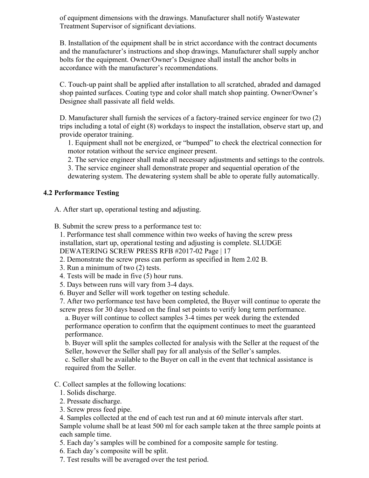of equipment dimensions with the drawings. Manufacturer shall notify Wastewater Treatment Supervisor of significant deviations.

B. Installation of the equipment shall be in strict accordance with the contract documents and the manufacturer's instructions and shop drawings. Manufacturer shall supply anchor bolts for the equipment. Owner/Owner's Designee shall install the anchor bolts in accordance with the manufacturer's recommendations.

C. Touch-up paint shall be applied after installation to all scratched, abraded and damaged shop painted surfaces. Coating type and color shall match shop painting. Owner/Owner's Designee shall passivate all field welds.

D. Manufacturer shall furnish the services of a factory-trained service engineer for two (2) trips including a total of eight (8) workdays to inspect the installation, observe start up, and provide operator training.

1. Equipment shall not be energized, or "bumped" to check the electrical connection for motor rotation without the service engineer present.

2. The service engineer shall make all necessary adjustments and settings to the controls.

3. The service engineer shall demonstrate proper and sequential operation of the dewatering system. The dewatering system shall be able to operate fully automatically.

## **4.2 Performance Testing**

A. After start up, operational testing and adjusting.

B. Submit the screw press to a performance test to:

1. Performance test shall commence within two weeks of having the screw press installation, start up, operational testing and adjusting is complete. SLUDGE DEWATERING SCREW PRESS RFB #2017-02 Page | 17

- 2. Demonstrate the screw press can perform as specified in Item 2.02 B.
- 3. Run a minimum of two (2) tests.
- 4. Tests will be made in five (5) hour runs.
- 5. Days between runs will vary from 3-4 days.
- 6. Buyer and Seller will work together on testing schedule.

7. After two performance test have been completed, the Buyer will continue to operate the screw press for 30 days based on the final set points to verify long term performance.

a. Buyer will continue to collect samples 3-4 times per week during the extended performance operation to confirm that the equipment continues to meet the guaranteed performance.

b. Buyer will split the samples collected for analysis with the Seller at the request of the Seller, however the Seller shall pay for all analysis of the Seller's samples.

c. Seller shall be available to the Buyer on call in the event that technical assistance is required from the Seller.

#### C. Collect samples at the following locations:

1. Solids discharge.

- 2. Pressate discharge.
- 3. Screw press feed pipe.
- 4. Samples collected at the end of each test run and at 60 minute intervals after start.

Sample volume shall be at least 500 ml for each sample taken at the three sample points at each sample time.

- 5. Each day's samples will be combined for a composite sample for testing.
- 6. Each day's composite will be split.
- 7. Test results will be averaged over the test period.